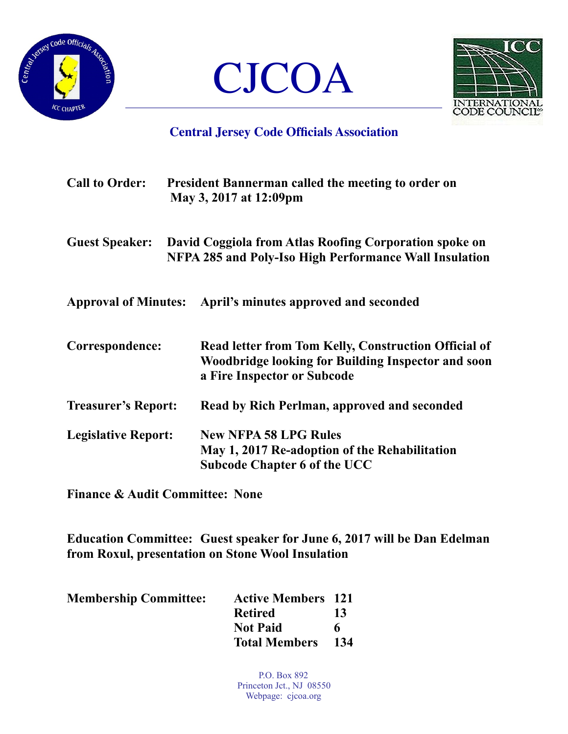





## **Central Jersey Code Officials Association**

| <b>Call to Order:</b>      | <b>President Bannerman called the meeting to order on</b><br>May 3, 2017 at 12:09pm                                                              |
|----------------------------|--------------------------------------------------------------------------------------------------------------------------------------------------|
| <b>Guest Speaker:</b>      | David Coggiola from Atlas Roofing Corporation spoke on<br>NFPA 285 and Poly-Iso High Performance Wall Insulation                                 |
|                            | Approval of Minutes: April's minutes approved and seconded                                                                                       |
| Correspondence:            | Read letter from Tom Kelly, Construction Official of<br><b>Woodbridge looking for Building Inspector and soon</b><br>a Fire Inspector or Subcode |
| <b>Treasurer's Report:</b> | Read by Rich Perlman, approved and seconded                                                                                                      |
| <b>Legislative Report:</b> | <b>New NFPA 58 LPG Rules</b><br>May 1, 2017 Re-adoption of the Rehabilitation<br><b>Subcode Chapter 6 of the UCC</b>                             |

**Finance & Audit Committee: None** 

**Education Committee: Guest speaker for June 6, 2017 will be Dan Edelman from Roxul, presentation on Stone Wool Insulation** 

| <b>Membership Committee:</b> | <b>Active Members</b> 121 |     |
|------------------------------|---------------------------|-----|
|                              | <b>Retired</b>            | 13  |
|                              | <b>Not Paid</b>           | 6   |
|                              | <b>Total Members</b>      | 134 |

P.O. Box 892 Princeton Jct., NJ 08550 Webpage: cjcoa.org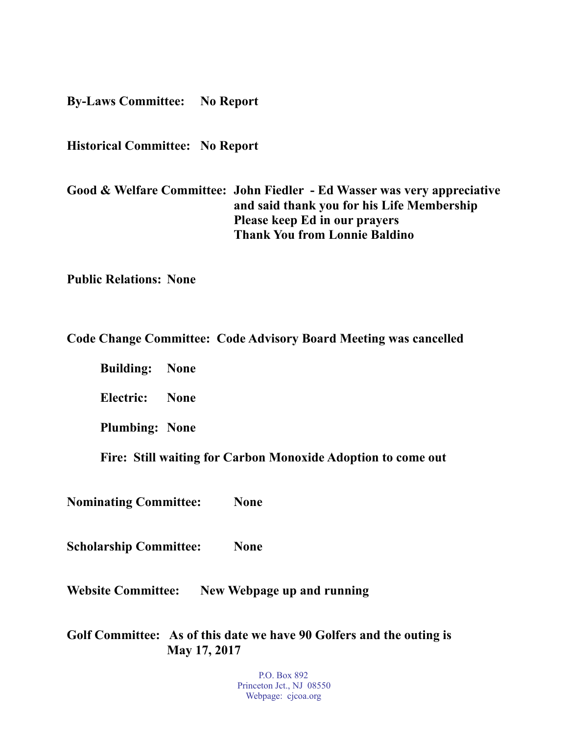**By-Laws Committee: No Report** 

**Historical Committee: No Report** 

**Good & Welfare Committee: John Fiedler - Ed Wasser was very appreciative and said thank you for his Life Membership Please keep Ed in our prayers Thank You from Lonnie Baldino** 

**Public Relations: None** 

**Code Change Committee: Code Advisory Board Meeting was cancelled** 

 **Building: None** 

 **Electric: None** 

**Plumbing: None** 

 **Fire: Still waiting for Carbon Monoxide Adoption to come out** 

**Nominating Committee: None** 

**Scholarship Committee: None** 

**Website Committee: New Webpage up and running** 

**Golf Committee: As of this date we have 90 Golfers and the outing is May 17, 2017** 

> P.O. Box 892 Princeton Jct., NJ 08550 Webpage: cjcoa.org